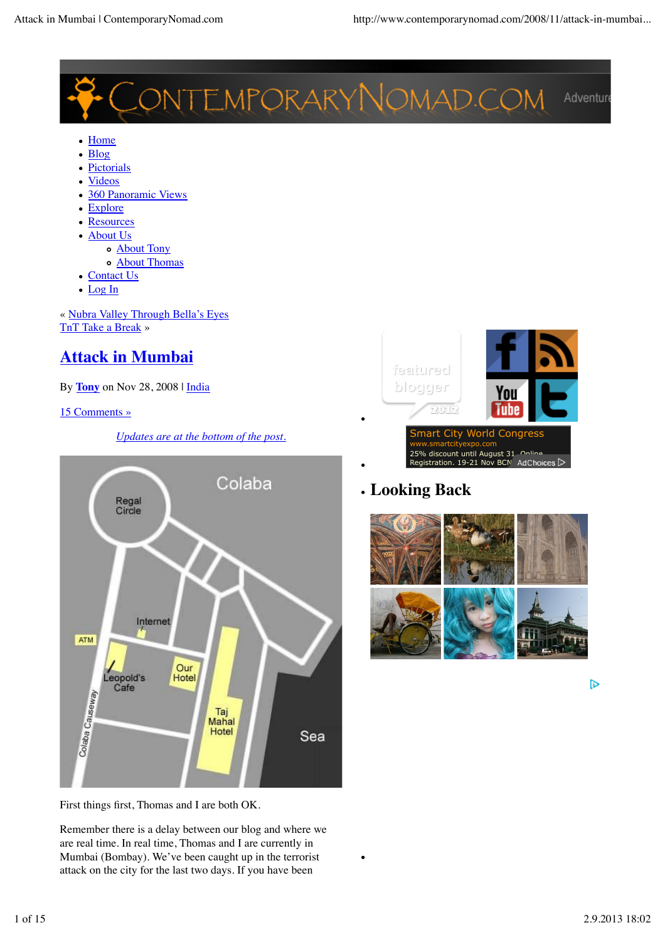

- Home
- Blog
- Pictorials  $\bullet$
- Videos
- 360 Panoramic Views
- Explore
- Resources
- About Us
	- About Tony
		- About Thomas
- Contact Us
- Log In

« Nubra Valley Through Bella's Eyes TnT Take a Break »

# **Attack in Mumbai**

By **Tony** on Nov 28, 2008 | India

### 15 Comments »

### *Updates are at the bottom of the post.*



First things first, Thomas and I are both OK.

Remember there is a delay between our blog and where we are real time. In real time, Thomas and I are currently in Mumbai (Bombay). We've been caught up in the terrorist attack on the city for the last two days. If you have been



# **Looking Back**



 $\triangleright$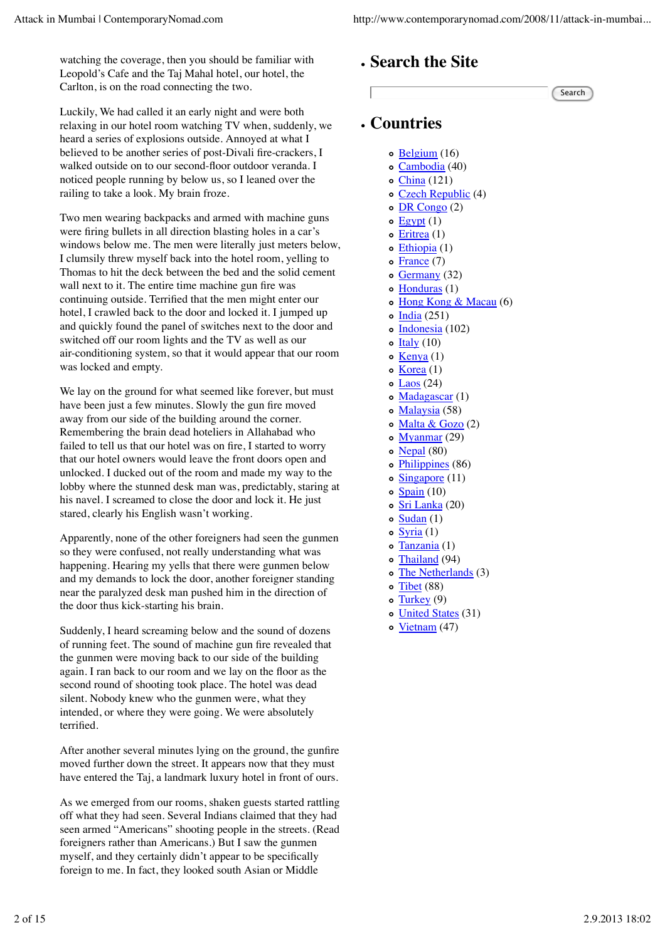watching the coverage, then you should be familiar with Leopold's Cafe and the Taj Mahal hotel, our hotel, the Carlton, is on the road connecting the two.

Luckily, We had called it an early night and were both relaxing in our hotel room watching TV when, suddenly, we heard a series of explosions outside. Annoyed at what I believed to be another series of post-Divali fire-crackers, I walked outside on to our second-floor outdoor veranda. I noticed people running by below us, so I leaned over the railing to take a look. My brain froze.

Two men wearing backpacks and armed with machine guns were firing bullets in all direction blasting holes in a car's windows below me. The men were literally just meters below, I clumsily threw myself back into the hotel room, yelling to Thomas to hit the deck between the bed and the solid cement wall next to it. The entire time machine gun fire was continuing outside. Terrified that the men might enter our hotel, I crawled back to the door and locked it. I jumped up and quickly found the panel of switches next to the door and switched off our room lights and the TV as well as our air-conditioning system, so that it would appear that our room was locked and empty.

We lay on the ground for what seemed like forever, but must have been just a few minutes. Slowly the gun fire moved away from our side of the building around the corner. Remembering the brain dead hoteliers in Allahabad who failed to tell us that our hotel was on fire, I started to worry that our hotel owners would leave the front doors open and unlocked. I ducked out of the room and made my way to the lobby where the stunned desk man was, predictably, staring at his navel. I screamed to close the door and lock it. He just stared, clearly his English wasn't working.

Apparently, none of the other foreigners had seen the gunmen so they were confused, not really understanding what was happening. Hearing my yells that there were gunmen below and my demands to lock the door, another foreigner standing near the paralyzed desk man pushed him in the direction of the door thus kick-starting his brain.

Suddenly, I heard screaming below and the sound of dozens of running feet. The sound of machine gun fire revealed that the gunmen were moving back to our side of the building again. I ran back to our room and we lay on the floor as the second round of shooting took place. The hotel was dead silent. Nobody knew who the gunmen were, what they intended, or where they were going. We were absolutely terrified.

After another several minutes lying on the ground, the gunfire moved further down the street. It appears now that they must have entered the Taj, a landmark luxury hotel in front of ours.

As we emerged from our rooms, shaken guests started rattling off what they had seen. Several Indians claimed that they had seen armed "Americans" shooting people in the streets. (Read foreigners rather than Americans.) But I saw the gunmen myself, and they certainly didn't appear to be specifically foreign to me. In fact, they looked south Asian or Middle





# **Countries**

- o Belgium (16)
- Cambodia (40)
- China (121)
- Czech Republic (4)
- $\circ$  DR Congo (2)
- $\circ$  Egypt  $(1)$
- $\circ$  Eritrea (1)
- Ethiopia (1)
- $\circ$  France (7)
- $\circ$  Germany (32)
- o Honduras (1)
- o Hong Kong & Macau (6)
- $\circ$  India (251)
- $\circ$  Indonesia (102)
- $\circ$  Italy (10)
- $\circ$  Kenya (1)
- $\circ$  Korea (1)
- $\circ$  Laos (24)
- o Madagascar (1)
- Malaysia (58)
- o Malta & Gozo (2)
- Myanmar (29)
- o Nepal (80)
- Philippines (86)
- o Singapore (11)
- $\circ$  Spain (10)
- o Sri Lanka (20)
- $\circ$  Sudan (1)
- $\circ$  Syria (1)
- $\circ$ Tanzania (1)
- Thailand (94)
- The Netherlands (3)
- o Tibet (88)
- Turkey (9)  $\circ$
- o United States (31)
- o Vietnam (47)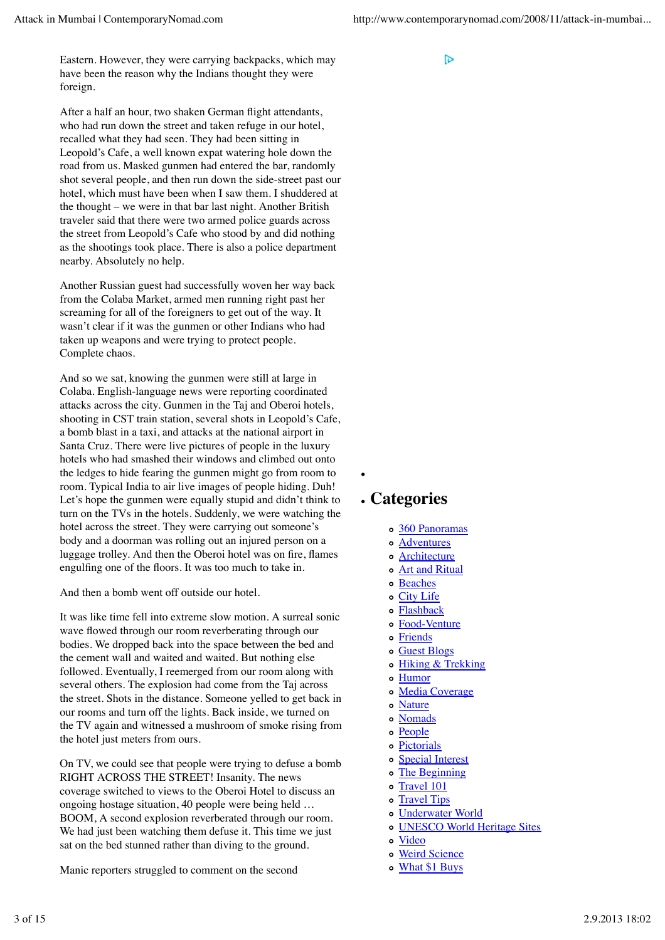Eastern. However, they were carrying backpacks, which may have been the reason why the Indians thought they were foreign.

After a half an hour, two shaken German flight attendants, who had run down the street and taken refuge in our hotel, recalled what they had seen. They had been sitting in Leopold's Cafe, a well known expat watering hole down the road from us. Masked gunmen had entered the bar, randomly shot several people, and then run down the side-street past our hotel, which must have been when I saw them. I shuddered at the thought – we were in that bar last night. Another British traveler said that there were two armed police guards across the street from Leopold's Cafe who stood by and did nothing as the shootings took place. There is also a police department nearby. Absolutely no help.

Another Russian guest had successfully woven her way back from the Colaba Market, armed men running right past her screaming for all of the foreigners to get out of the way. It wasn't clear if it was the gunmen or other Indians who had taken up weapons and were trying to protect people. Complete chaos.

And so we sat, knowing the gunmen were still at large in Colaba. English-language news were reporting coordinated attacks across the city. Gunmen in the Taj and Oberoi hotels, shooting in CST train station, several shots in Leopold's Cafe, a bomb blast in a taxi, and attacks at the national airport in Santa Cruz. There were live pictures of people in the luxury hotels who had smashed their windows and climbed out onto the ledges to hide fearing the gunmen might go from room to room. Typical India to air live images of people hiding. Duh! Let's hope the gunmen were equally stupid and didn't think to turn on the TVs in the hotels. Suddenly, we were watching the hotel across the street. They were carrying out someone's body and a doorman was rolling out an injured person on a luggage trolley. And then the Oberoi hotel was on fire, flames engulfing one of the floors. It was too much to take in.

And then a bomb went off outside our hotel.

It was like time fell into extreme slow motion. A surreal sonic wave flowed through our room reverberating through our bodies. We dropped back into the space between the bed and the cement wall and waited and waited. But nothing else followed. Eventually, I reemerged from our room along with several others. The explosion had come from the Taj across the street. Shots in the distance. Someone yelled to get back in our rooms and turn off the lights. Back inside, we turned on the TV again and witnessed a mushroom of smoke rising from the hotel just meters from ours.

On TV, we could see that people were trying to defuse a bomb RIGHT ACROSS THE STREET! Insanity. The news coverage switched to views to the Oberoi Hotel to discuss an ongoing hostage situation, 40 people were being held … BOOM, A second explosion reverberated through our room. We had just been watching them defuse it. This time we just sat on the bed stunned rather than diving to the ground.

Manic reporters struggled to comment on the second

IЪ

# **Categories**

- 360 Panoramas
- Adventures
- o **Architecture**
- Art and Ritual
- o Beaches
- City Life
- Flashback
- o Food-Venture
- Friends
- o Guest Blogs
- Hiking & Trekking
- Humor
- Media Coverage
- o Nature
- Nomads
- o People
- Pictorials
- o Special Interest
- The Beginning
- o Travel 101
- o Travel Tips
- Underwater World
- UNESCO World Heritage Sites
- Video
- Weird Science
- What \$1 Buys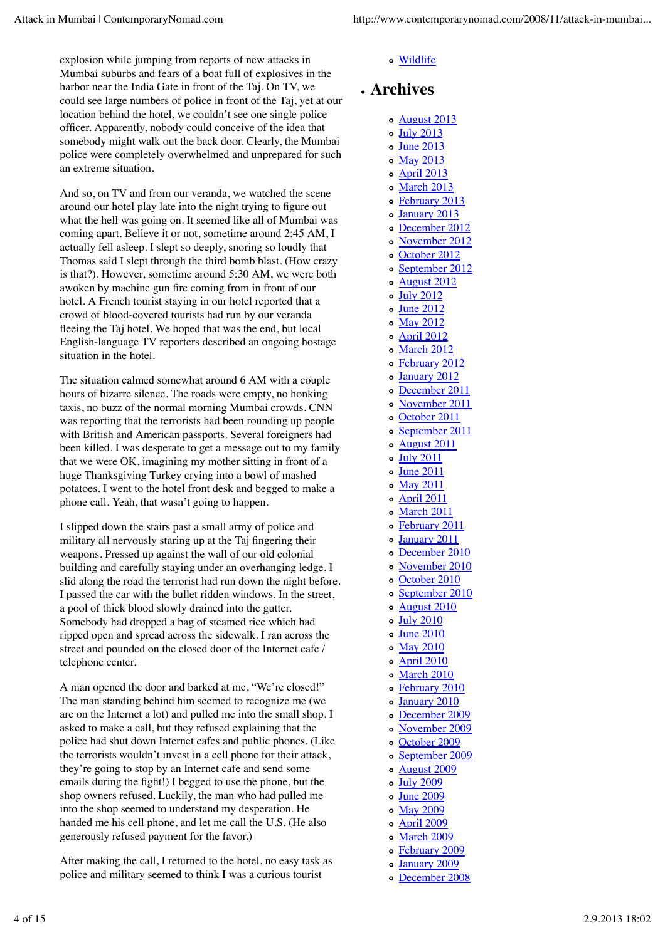explosion while jumping from reports of new attacks in Mumbai suburbs and fears of a boat full of explosives in the harbor near the India Gate in front of the Taj. On TV, we could see large numbers of police in front of the Taj, yet at our location behind the hotel, we couldn't see one single police officer. Apparently, nobody could conceive of the idea that somebody might walk out the back door. Clearly, the Mumbai police were completely overwhelmed and unprepared for such an extreme situation.

And so, on TV and from our veranda, we watched the scene around our hotel play late into the night trying to figure out what the hell was going on. It seemed like all of Mumbai was coming apart. Believe it or not, sometime around 2:45 AM, I actually fell asleep. I slept so deeply, snoring so loudly that Thomas said I slept through the third bomb blast. (How crazy is that?). However, sometime around 5:30 AM, we were both awoken by machine gun fire coming from in front of our hotel. A French tourist staying in our hotel reported that a crowd of blood-covered tourists had run by our veranda fleeing the Taj hotel. We hoped that was the end, but local English-language TV reporters described an ongoing hostage situation in the hotel.

The situation calmed somewhat around 6 AM with a couple hours of bizarre silence. The roads were empty, no honking taxis, no buzz of the normal morning Mumbai crowds. CNN was reporting that the terrorists had been rounding up people with British and American passports. Several foreigners had been killed. I was desperate to get a message out to my family that we were OK, imagining my mother sitting in front of a huge Thanksgiving Turkey crying into a bowl of mashed potatoes. I went to the hotel front desk and begged to make a phone call. Yeah, that wasn't going to happen.

I slipped down the stairs past a small army of police and military all nervously staring up at the Taj fingering their weapons. Pressed up against the wall of our old colonial building and carefully staying under an overhanging ledge, I slid along the road the terrorist had run down the night before. I passed the car with the bullet ridden windows. In the street, a pool of thick blood slowly drained into the gutter. Somebody had dropped a bag of steamed rice which had ripped open and spread across the sidewalk. I ran across the street and pounded on the closed door of the Internet cafe / telephone center.

A man opened the door and barked at me, "We're closed!" The man standing behind him seemed to recognize me (we are on the Internet a lot) and pulled me into the small shop. I asked to make a call, but they refused explaining that the police had shut down Internet cafes and public phones. (Like the terrorists wouldn't invest in a cell phone for their attack, they're going to stop by an Internet cafe and send some emails during the fight!) I begged to use the phone, but the shop owners refused. Luckily, the man who had pulled me into the shop seemed to understand my desperation. He handed me his cell phone, and let me call the U.S. (He also generously refused payment for the favor.)

After making the call, I returned to the hotel, no easy task as police and military seemed to think I was a curious tourist

#### Wildlife

# **Archives**

- August 2013
- July 2013
- June 2013
- o May 2013
- April 2013
- o March 2013
- February 2013
- o January 2013
- December 2012
- November 2012
- o October 2012
- o September 2012
- August 2012
- July 2012
- June 2012
- May 2012
- April 2012
- o March 2012
- February 2012
- January 2012
- December 2011
- o November 2011
- o October 2011
- o September 2011
- August 2011
- July 2011
- June 2011
- May 2011
- April 2011
- o March 2011 February 2011
- January 2011
- o December 2010
- o November 2010
- October 2010
- September 2010
- August 2010
- July 2010
- o June 2010
- May 2010
- April 2010
- o March 2010
- February 2010
- January 2010
- December 2009
- 
- 
- September 2009
- August 2009
- July 2009
- June 2009
- o May 2009
- April 2009
- o March 2009
- February 2009
- o January 2009
- December 2008
- November 2009
- October 2009
- 
- 
- 
- 
- -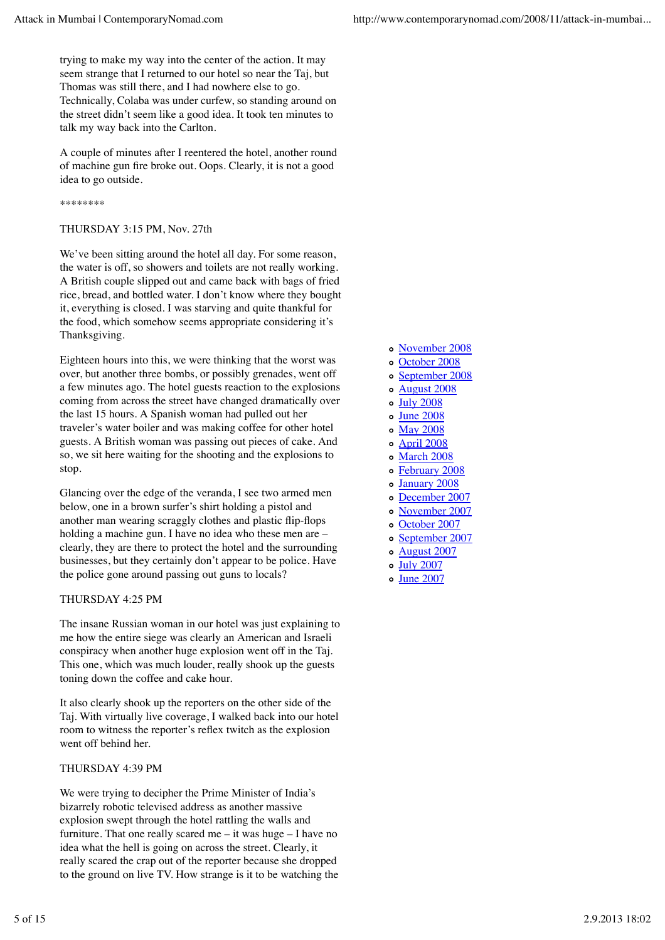trying to make my way into the center of the action. It may seem strange that I returned to our hotel so near the Taj, but Thomas was still there, and I had nowhere else to go. Technically, Colaba was under curfew, so standing around on the street didn't seem like a good idea. It took ten minutes to talk my way back into the Carlton.

A couple of minutes after I reentered the hotel, another round of machine gun fire broke out. Oops. Clearly, it is not a good idea to go outside.

\*\*\*\*\*\*\*\*

#### THURSDAY 3:15 PM, Nov. 27th

We've been sitting around the hotel all day. For some reason, the water is off, so showers and toilets are not really working. A British couple slipped out and came back with bags of fried rice, bread, and bottled water. I don't know where they bought it, everything is closed. I was starving and quite thankful for the food, which somehow seems appropriate considering it's Thanksgiving.

Eighteen hours into this, we were thinking that the worst was over, but another three bombs, or possibly grenades, went off a few minutes ago. The hotel guests reaction to the explosions coming from across the street have changed dramatically over the last 15 hours. A Spanish woman had pulled out her traveler's water boiler and was making coffee for other hotel guests. A British woman was passing out pieces of cake. And so, we sit here waiting for the shooting and the explosions to stop.

Glancing over the edge of the veranda, I see two armed men below, one in a brown surfer's shirt holding a pistol and another man wearing scraggly clothes and plastic flip-flops holding a machine gun. I have no idea who these men are – clearly, they are there to protect the hotel and the surrounding businesses, but they certainly don't appear to be police. Have the police gone around passing out guns to locals?

#### THURSDAY 4:25 PM

The insane Russian woman in our hotel was just explaining to me how the entire siege was clearly an American and Israeli conspiracy when another huge explosion went off in the Taj. This one, which was much louder, really shook up the guests toning down the coffee and cake hour.

It also clearly shook up the reporters on the other side of the Taj. With virtually live coverage, I walked back into our hotel room to witness the reporter's reflex twitch as the explosion went off behind her.

#### THURSDAY 4:39 PM

We were trying to decipher the Prime Minister of India's bizarrely robotic televised address as another massive explosion swept through the hotel rattling the walls and furniture. That one really scared me – it was huge – I have no idea what the hell is going on across the street. Clearly, it really scared the crap out of the reporter because she dropped to the ground on live TV. How strange is it to be watching the

- November 2008
- o October 2008
- September 2008
- August 2008
- July 2008
- $\circ$  June 2008
- o May 2008
- April 2008
- o March 2008
- February 2008
- January 2008
- December 2007
- November 2007
- o October 2007
- o September 2007
- August 2007
- July 2007
- o June 2007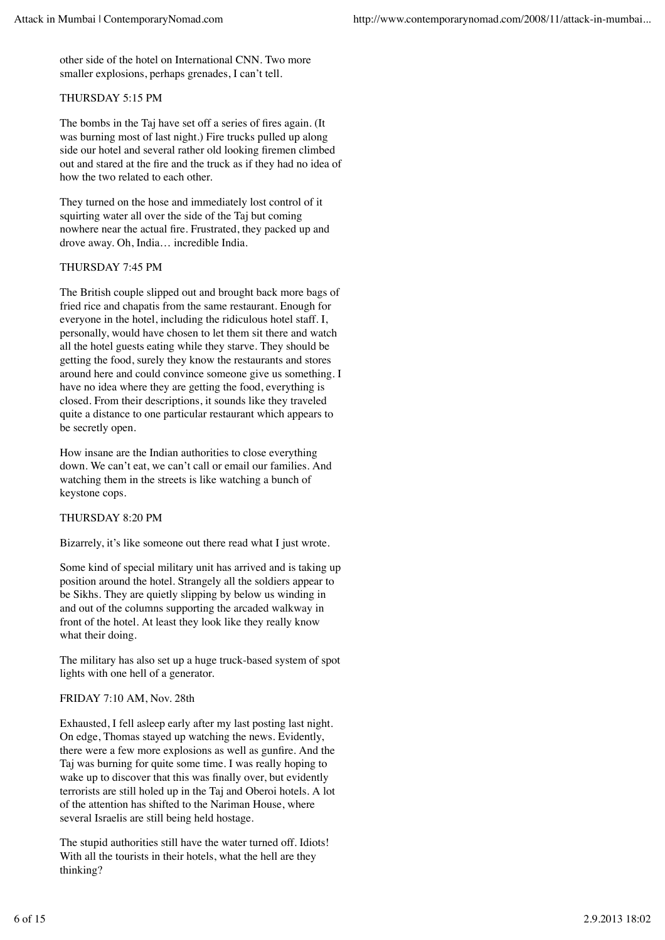other side of the hotel on International CNN. Two more smaller explosions, perhaps grenades, I can't tell.

#### THURSDAY 5:15 PM

The bombs in the Taj have set off a series of fires again. (It was burning most of last night.) Fire trucks pulled up along side our hotel and several rather old looking firemen climbed out and stared at the fire and the truck as if they had no idea of how the two related to each other.

They turned on the hose and immediately lost control of it squirting water all over the side of the Taj but coming nowhere near the actual fire. Frustrated, they packed up and drove away. Oh, India… incredible India.

#### THURSDAY 7:45 PM

The British couple slipped out and brought back more bags of fried rice and chapatis from the same restaurant. Enough for everyone in the hotel, including the ridiculous hotel staff. I, personally, would have chosen to let them sit there and watch all the hotel guests eating while they starve. They should be getting the food, surely they know the restaurants and stores around here and could convince someone give us something. I have no idea where they are getting the food, everything is closed. From their descriptions, it sounds like they traveled quite a distance to one particular restaurant which appears to be secretly open.

How insane are the Indian authorities to close everything down. We can't eat, we can't call or email our families. And watching them in the streets is like watching a bunch of keystone cops.

#### THURSDAY 8:20 PM

Bizarrely, it's like someone out there read what I just wrote.

Some kind of special military unit has arrived and is taking up position around the hotel. Strangely all the soldiers appear to be Sikhs. They are quietly slipping by below us winding in and out of the columns supporting the arcaded walkway in front of the hotel. At least they look like they really know what their doing.

The military has also set up a huge truck-based system of spot lights with one hell of a generator.

#### FRIDAY 7:10 AM, Nov. 28th

Exhausted, I fell asleep early after my last posting last night. On edge, Thomas stayed up watching the news. Evidently, there were a few more explosions as well as gunfire. And the Taj was burning for quite some time. I was really hoping to wake up to discover that this was finally over, but evidently terrorists are still holed up in the Taj and Oberoi hotels. A lot of the attention has shifted to the Nariman House, where several Israelis are still being held hostage.

The stupid authorities still have the water turned off. Idiots! With all the tourists in their hotels, what the hell are they thinking?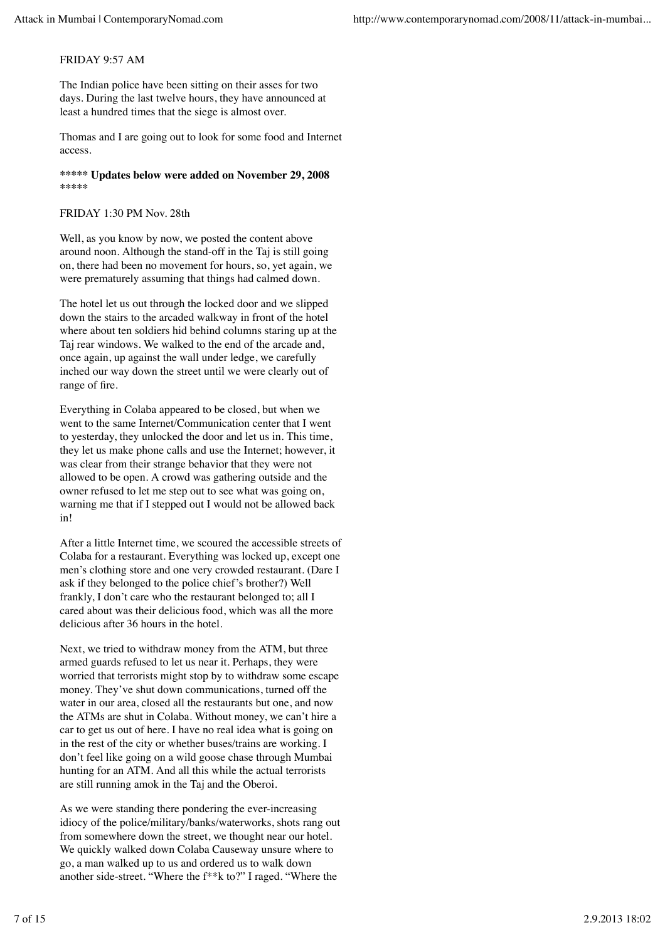#### FRIDAY 9:57 AM

The Indian police have been sitting on their asses for two days. During the last twelve hours, they have announced at least a hundred times that the siege is almost over.

Thomas and I are going out to look for some food and Internet access.

**\*\*\*\*\* Updates below were added on November 29, 2008 \*\*\*\*\***

#### FRIDAY 1:30 PM Nov. 28th

Well, as you know by now, we posted the content above around noon. Although the stand-off in the Taj is still going on, there had been no movement for hours, so, yet again, we were prematurely assuming that things had calmed down.

The hotel let us out through the locked door and we slipped down the stairs to the arcaded walkway in front of the hotel where about ten soldiers hid behind columns staring up at the Taj rear windows. We walked to the end of the arcade and, once again, up against the wall under ledge, we carefully inched our way down the street until we were clearly out of range of fire.

Everything in Colaba appeared to be closed, but when we went to the same Internet/Communication center that I went to yesterday, they unlocked the door and let us in. This time, they let us make phone calls and use the Internet; however, it was clear from their strange behavior that they were not allowed to be open. A crowd was gathering outside and the owner refused to let me step out to see what was going on, warning me that if I stepped out I would not be allowed back in!

After a little Internet time, we scoured the accessible streets of Colaba for a restaurant. Everything was locked up, except one men's clothing store and one very crowded restaurant. (Dare I ask if they belonged to the police chief's brother?) Well frankly, I don't care who the restaurant belonged to; all I cared about was their delicious food, which was all the more delicious after 36 hours in the hotel.

Next, we tried to withdraw money from the ATM, but three armed guards refused to let us near it. Perhaps, they were worried that terrorists might stop by to withdraw some escape money. They've shut down communications, turned off the water in our area, closed all the restaurants but one, and now the ATMs are shut in Colaba. Without money, we can't hire a car to get us out of here. I have no real idea what is going on in the rest of the city or whether buses/trains are working. I don't feel like going on a wild goose chase through Mumbai hunting for an ATM. And all this while the actual terrorists are still running amok in the Taj and the Oberoi.

As we were standing there pondering the ever-increasing idiocy of the police/military/banks/waterworks, shots rang out from somewhere down the street, we thought near our hotel. We quickly walked down Colaba Causeway unsure where to go, a man walked up to us and ordered us to walk down another side-street. "Where the f\*\*k to?" I raged. "Where the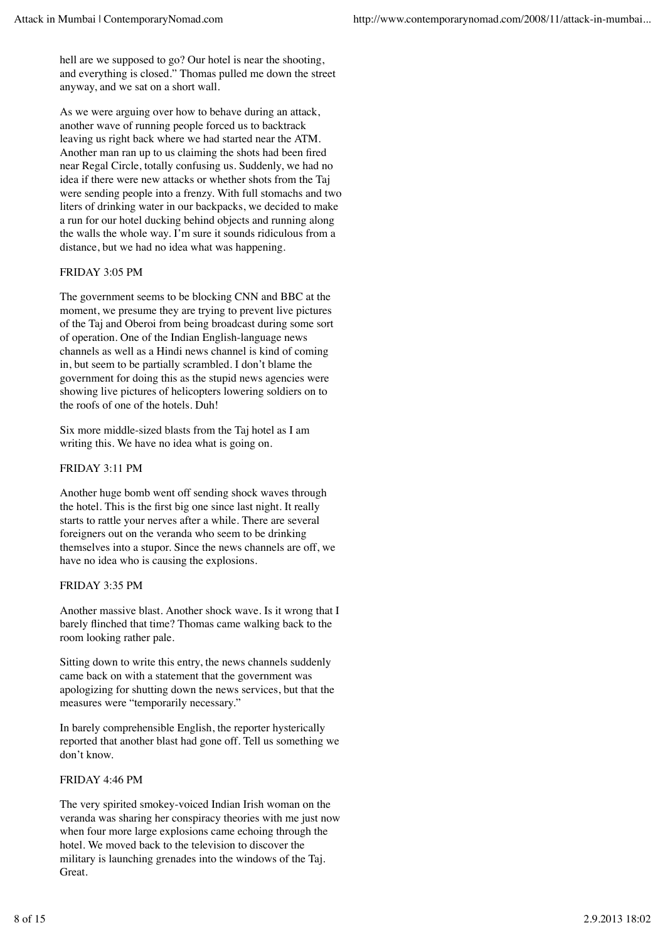hell are we supposed to go? Our hotel is near the shooting, and everything is closed." Thomas pulled me down the street anyway, and we sat on a short wall.

As we were arguing over how to behave during an attack, another wave of running people forced us to backtrack leaving us right back where we had started near the ATM. Another man ran up to us claiming the shots had been fired near Regal Circle, totally confusing us. Suddenly, we had no idea if there were new attacks or whether shots from the Taj were sending people into a frenzy. With full stomachs and two liters of drinking water in our backpacks, we decided to make a run for our hotel ducking behind objects and running along the walls the whole way. I'm sure it sounds ridiculous from a distance, but we had no idea what was happening.

#### FRIDAY 3:05 PM

The government seems to be blocking CNN and BBC at the moment, we presume they are trying to prevent live pictures of the Taj and Oberoi from being broadcast during some sort of operation. One of the Indian English-language news channels as well as a Hindi news channel is kind of coming in, but seem to be partially scrambled. I don't blame the government for doing this as the stupid news agencies were showing live pictures of helicopters lowering soldiers on to the roofs of one of the hotels. Duh!

Six more middle-sized blasts from the Taj hotel as I am writing this. We have no idea what is going on.

#### FRIDAY 3:11 PM

Another huge bomb went off sending shock waves through the hotel. This is the first big one since last night. It really starts to rattle your nerves after a while. There are several foreigners out on the veranda who seem to be drinking themselves into a stupor. Since the news channels are off, we have no idea who is causing the explosions.

#### FRIDAY 3:35 PM

Another massive blast. Another shock wave. Is it wrong that I barely flinched that time? Thomas came walking back to the room looking rather pale.

Sitting down to write this entry, the news channels suddenly came back on with a statement that the government was apologizing for shutting down the news services, but that the measures were "temporarily necessary."

In barely comprehensible English, the reporter hysterically reported that another blast had gone off. Tell us something we don't know.

#### FRIDAY 4:46 PM

The very spirited smokey-voiced Indian Irish woman on the veranda was sharing her conspiracy theories with me just now when four more large explosions came echoing through the hotel. We moved back to the television to discover the military is launching grenades into the windows of the Taj. Great.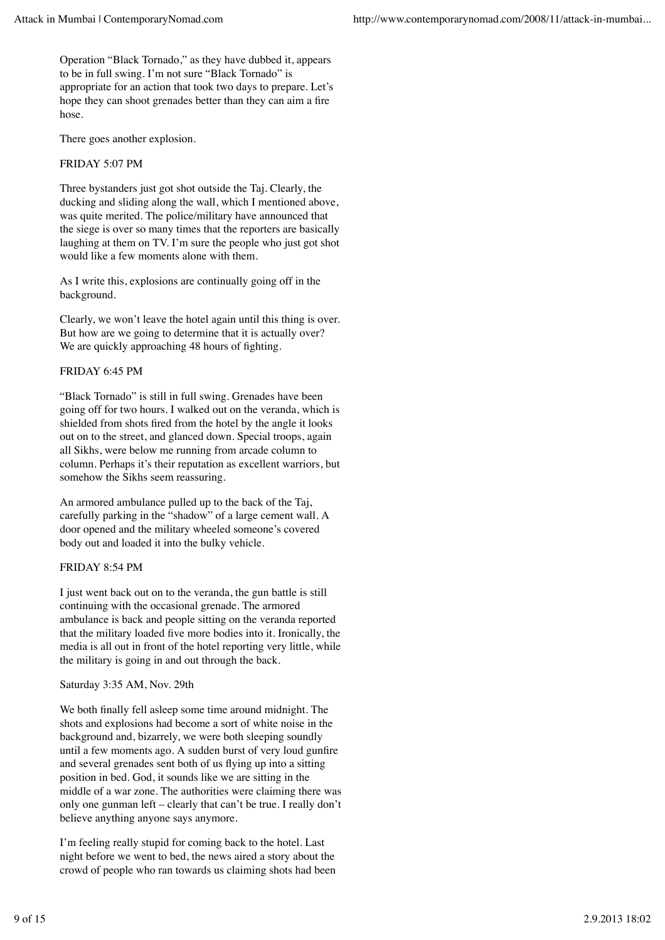Operation "Black Tornado," as they have dubbed it, appears to be in full swing. I'm not sure "Black Tornado" is appropriate for an action that took two days to prepare. Let's hope they can shoot grenades better than they can aim a fire hose.

There goes another explosion.

#### FRIDAY 5:07 PM

Three bystanders just got shot outside the Taj. Clearly, the ducking and sliding along the wall, which I mentioned above, was quite merited. The police/military have announced that the siege is over so many times that the reporters are basically laughing at them on TV. I'm sure the people who just got shot would like a few moments alone with them.

As I write this, explosions are continually going off in the background.

Clearly, we won't leave the hotel again until this thing is over. But how are we going to determine that it is actually over? We are quickly approaching 48 hours of fighting.

#### FRIDAY 6:45 PM

"Black Tornado" is still in full swing. Grenades have been going off for two hours. I walked out on the veranda, which is shielded from shots fired from the hotel by the angle it looks out on to the street, and glanced down. Special troops, again all Sikhs, were below me running from arcade column to column. Perhaps it's their reputation as excellent warriors, but somehow the Sikhs seem reassuring.

An armored ambulance pulled up to the back of the Taj, carefully parking in the "shadow" of a large cement wall. A door opened and the military wheeled someone's covered body out and loaded it into the bulky vehicle.

#### FRIDAY 8:54 PM

I just went back out on to the veranda, the gun battle is still continuing with the occasional grenade. The armored ambulance is back and people sitting on the veranda reported that the military loaded five more bodies into it. Ironically, the media is all out in front of the hotel reporting very little, while the military is going in and out through the back.

#### Saturday 3:35 AM, Nov. 29th

We both finally fell asleep some time around midnight. The shots and explosions had become a sort of white noise in the background and, bizarrely, we were both sleeping soundly until a few moments ago. A sudden burst of very loud gunfire and several grenades sent both of us flying up into a sitting position in bed. God, it sounds like we are sitting in the middle of a war zone. The authorities were claiming there was only one gunman left – clearly that can't be true. I really don't believe anything anyone says anymore.

I'm feeling really stupid for coming back to the hotel. Last night before we went to bed, the news aired a story about the crowd of people who ran towards us claiming shots had been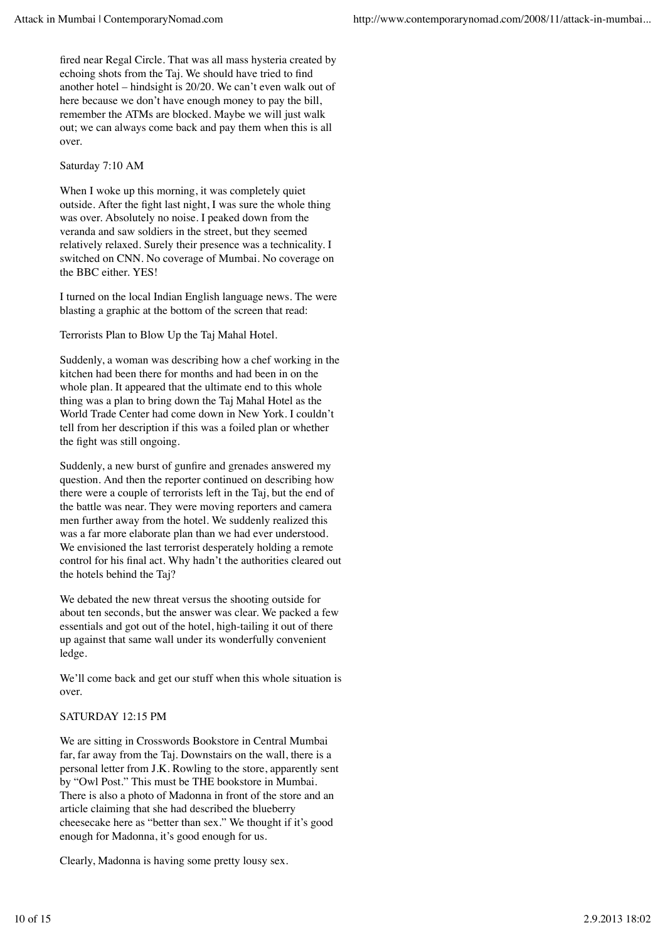fired near Regal Circle. That was all mass hysteria created by echoing shots from the Taj. We should have tried to find another hotel – hindsight is 20/20. We can't even walk out of here because we don't have enough money to pay the bill, remember the ATMs are blocked. Maybe we will just walk out; we can always come back and pay them when this is all over.

#### Saturday 7:10 AM

When I woke up this morning, it was completely quiet outside. After the fight last night, I was sure the whole thing was over. Absolutely no noise. I peaked down from the veranda and saw soldiers in the street, but they seemed relatively relaxed. Surely their presence was a technicality. I switched on CNN. No coverage of Mumbai. No coverage on the BBC either. YES!

I turned on the local Indian English language news. The were blasting a graphic at the bottom of the screen that read:

Terrorists Plan to Blow Up the Taj Mahal Hotel.

Suddenly, a woman was describing how a chef working in the kitchen had been there for months and had been in on the whole plan. It appeared that the ultimate end to this whole thing was a plan to bring down the Taj Mahal Hotel as the World Trade Center had come down in New York. I couldn't tell from her description if this was a foiled plan or whether the fight was still ongoing.

Suddenly, a new burst of gunfire and grenades answered my question. And then the reporter continued on describing how there were a couple of terrorists left in the Taj, but the end of the battle was near. They were moving reporters and camera men further away from the hotel. We suddenly realized this was a far more elaborate plan than we had ever understood. We envisioned the last terrorist desperately holding a remote control for his final act. Why hadn't the authorities cleared out the hotels behind the Taj?

We debated the new threat versus the shooting outside for about ten seconds, but the answer was clear. We packed a few essentials and got out of the hotel, high-tailing it out of there up against that same wall under its wonderfully convenient ledge.

We'll come back and get our stuff when this whole situation is over.

### SATURDAY 12:15 PM

We are sitting in Crosswords Bookstore in Central Mumbai far, far away from the Taj. Downstairs on the wall, there is a personal letter from J.K. Rowling to the store, apparently sent by "Owl Post." This must be THE bookstore in Mumbai. There is also a photo of Madonna in front of the store and an article claiming that she had described the blueberry cheesecake here as "better than sex." We thought if it's good enough for Madonna, it's good enough for us.

Clearly, Madonna is having some pretty lousy sex.